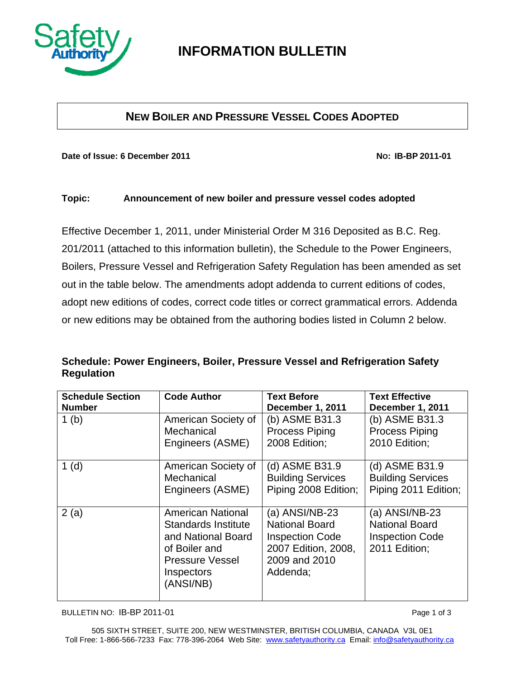

# **INFORMATION BULLETIN**

### **NEW BOILER AND PRESSURE VESSEL CODES ADOPTED**

Date of Issue: 6 December 2011

No: IB-BP 2011-01

#### Topic: Announcement of new boiler and pressure vessel codes adopted

Effective December 1, 2011, under Ministerial Order M 316 Deposited as B.C. Reg. 201/2011 (attached to this information bulletin), the Schedule to the Power Engineers, Boilers, Pressure Vessel and Refrigeration Safety Regulation has been amended as set out in the table below. The amendments adopt addenda to current editions of codes, adopt new editions of codes, correct code titles or correct grammatical errors. Addenda or new editions may be obtained from the authoring bodies listed in Column 2 below.

### Schedule: Power Engineers, Boiler, Pressure Vessel and Refrigeration Safety **Regulation**

| <b>Schedule Section</b> | <b>Code Author</b>                                                                                                                          | <b>Text Before</b>                                                                                                    | <b>Text Effective</b>                                                                |
|-------------------------|---------------------------------------------------------------------------------------------------------------------------------------------|-----------------------------------------------------------------------------------------------------------------------|--------------------------------------------------------------------------------------|
| <b>Number</b>           |                                                                                                                                             | December 1, 2011                                                                                                      | December 1, 2011                                                                     |
| 1 <sub>(b)</sub>        | American Society of                                                                                                                         | (b) ASME B31.3                                                                                                        | (b) ASME B31.3                                                                       |
|                         | Mechanical                                                                                                                                  | <b>Process Piping</b>                                                                                                 | <b>Process Piping</b>                                                                |
|                         | Engineers (ASME)                                                                                                                            | 2008 Edition;                                                                                                         | 2010 Edition;                                                                        |
| 1(d)                    | American Society of                                                                                                                         | (d) ASME B31.9                                                                                                        | (d) ASME B31.9                                                                       |
|                         | Mechanical                                                                                                                                  | <b>Building Services</b>                                                                                              | <b>Building Services</b>                                                             |
|                         | Engineers (ASME)                                                                                                                            | Piping 2008 Edition;                                                                                                  | Piping 2011 Edition;                                                                 |
| 2(a)                    | <b>American National</b><br>Standards Institute<br>and National Board<br>of Boiler and<br><b>Pressure Vessel</b><br>Inspectors<br>(ANSI/NB) | (a) ANSI/NB-23<br><b>National Board</b><br><b>Inspection Code</b><br>2007 Edition, 2008,<br>2009 and 2010<br>Addenda; | (a) $ANSI/NB-23$<br><b>National Board</b><br><b>Inspection Code</b><br>2011 Edition; |

BULLETIN NO: IB-BP 2011-01

Page 1 of 3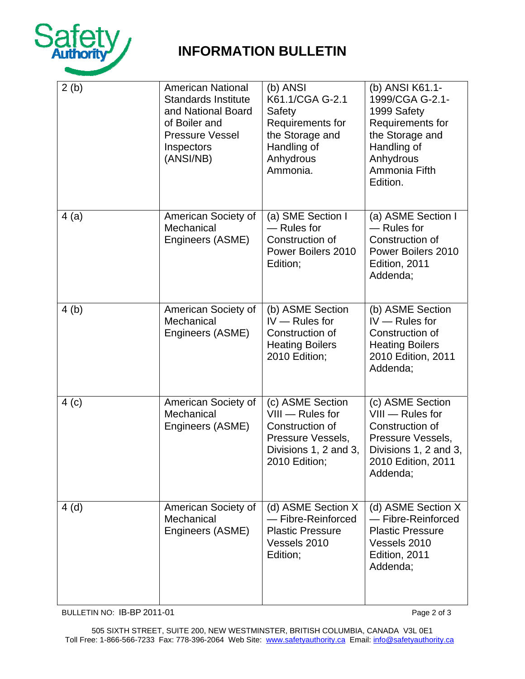

# **INFORMATION BULLETIN**

| 2(b) | <b>American National</b><br><b>Standards Institute</b><br>and National Board<br>of Boiler and<br><b>Pressure Vessel</b><br>Inspectors<br>(ANSI/NB) | (b) ANSI<br>K61.1/CGA G-2.1<br>Safety<br>Requirements for<br>the Storage and<br>Handling of<br>Anhydrous<br>Ammonia.     | (b) ANSI K61.1-<br>1999/CGA G-2.1-<br>1999 Safety<br>Requirements for<br>the Storage and<br>Handling of<br>Anhydrous<br>Ammonia Fifth<br>Edition. |
|------|----------------------------------------------------------------------------------------------------------------------------------------------------|--------------------------------------------------------------------------------------------------------------------------|---------------------------------------------------------------------------------------------------------------------------------------------------|
| 4(a) | American Society of<br>Mechanical<br>Engineers (ASME)                                                                                              | (a) SME Section I<br>- Rules for<br>Construction of<br>Power Boilers 2010<br>Edition;                                    | (a) ASME Section I<br>- Rules for<br>Construction of<br>Power Boilers 2010<br>Edition, 2011<br>Addenda;                                           |
| 4(b) | American Society of<br>Mechanical<br>Engineers (ASME)                                                                                              | (b) ASME Section<br>$IV - Rules for$<br>Construction of<br><b>Heating Boilers</b><br>2010 Edition;                       | (b) ASME Section<br>$IV - Rules for$<br>Construction of<br><b>Heating Boilers</b><br>2010 Edition, 2011<br>Addenda;                               |
| 4(c) | American Society of<br>Mechanical<br>Engineers (ASME)                                                                                              | (c) ASME Section<br>$VIII - Rules for$<br>Construction of<br>Pressure Vessels,<br>Divisions 1, 2 and 3,<br>2010 Edition; | (c) ASME Section<br>$VIII - Rules for$<br>Construction of<br>Pressure Vessels,<br>Divisions 1, 2 and 3,<br>2010 Edition, 2011<br>Addenda;         |
| 4(d) | American Society of<br>Mechanical<br>Engineers (ASME)                                                                                              | (d) ASME Section X<br>- Fibre-Reinforced<br><b>Plastic Pressure</b><br>Vessels 2010<br>Edition;                          | (d) ASME Section X<br>- Fibre-Reinforced<br><b>Plastic Pressure</b><br>Vessels 2010<br>Edition, 2011<br>Addenda;                                  |

BULLETIN NO: IB-BP 2011-01

Page 2 of 3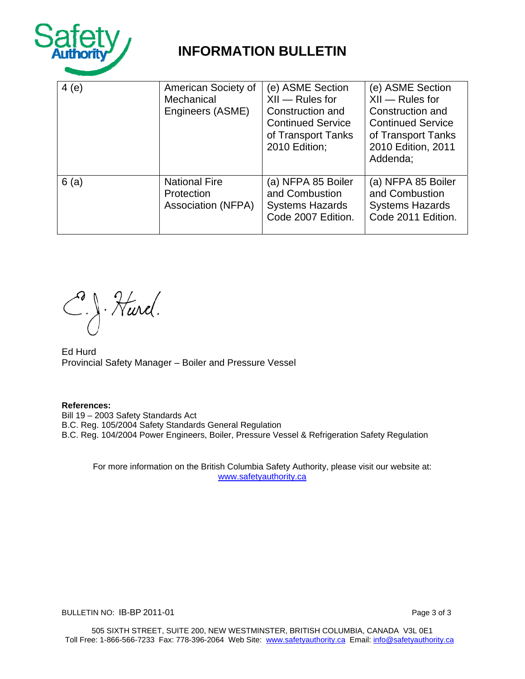

# **INFORMATION BULLETIN**

| 4(e) | American Society of<br>Mechanical<br>Engineers (ASME)           | (e) ASME Section<br>$XII - Rules for$<br>Construction and<br><b>Continued Service</b><br>of Transport Tanks<br>2010 Edition; | (e) ASME Section<br>$XII - Rules for$<br>Construction and<br><b>Continued Service</b><br>of Transport Tanks<br>2010 Edition, 2011<br>Addenda; |
|------|-----------------------------------------------------------------|------------------------------------------------------------------------------------------------------------------------------|-----------------------------------------------------------------------------------------------------------------------------------------------|
| 6(a) | <b>National Fire</b><br>Protection<br><b>Association (NFPA)</b> | (a) NFPA 85 Boiler<br>and Combustion<br><b>Systems Hazards</b><br>Code 2007 Edition.                                         | (a) NFPA 85 Boiler<br>and Combustion<br><b>Systems Hazards</b><br>Code 2011 Edition.                                                          |

C.J. Hurel.

Ed Hurd Provincial Safety Manager - Boiler and Pressure Vessel

**References:** Bill 19 - 2003 Safety Standards Act B.C. Reg. 105/2004 Safety Standards General Regulation B.C. Reg. 104/2004 Power Engineers, Boiler, Pressure Vessel & Refrigeration Safety Regulation

For more information on the British Columbia Safety Authority, please visit our website at: www.safetyauthority.ca

BULLETIN NO: IB-BP 2011-01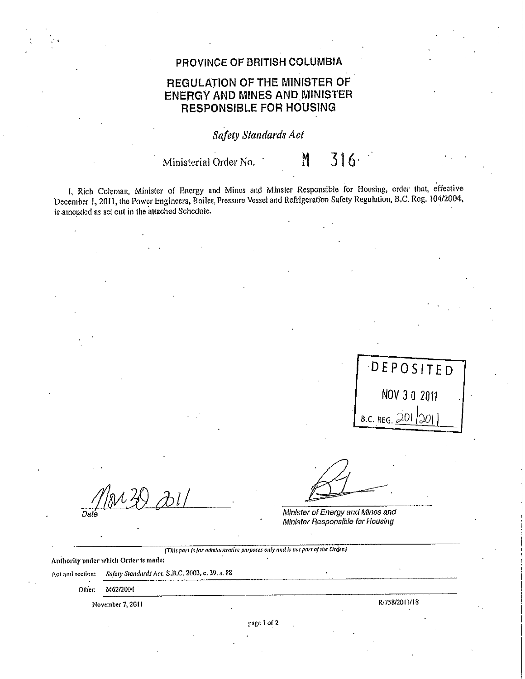#### PROVINCE OF BRITISH COLUMBIA

### REGULATION OF THE MINISTER OF **ENERGY AND MINES AND MINISTER RESPONSIBLE FOR HOUSING**

**Safety Standards Act** 

Ministerial Order No.

 $316$ 

N

I, Rich Coleman, Minister of Energy and Mines and Minster Responsible for Housing, order that, effective December 1, 2011, the Power Engineers, Boiler, Pressure Vessel and Refrigeration Safety Regulation, B.C. Reg. 104/2004, is amended as set out in the attached Schedule.

DEPOSITED NOV 3 0 2011 B.C. REG. 201 201

Minister of Energy and Mines and Minister Responsible for Housing

(This part is for administrative purposes only and is not part of the Order.)

Authority under which Order is made:

Safery Standards Act, S.B.C. 2003, c. 39, s. 88 Act and section:

> Other: M62/2004

> > November 7, 2011

R/758/2011/18

page 1 of 2